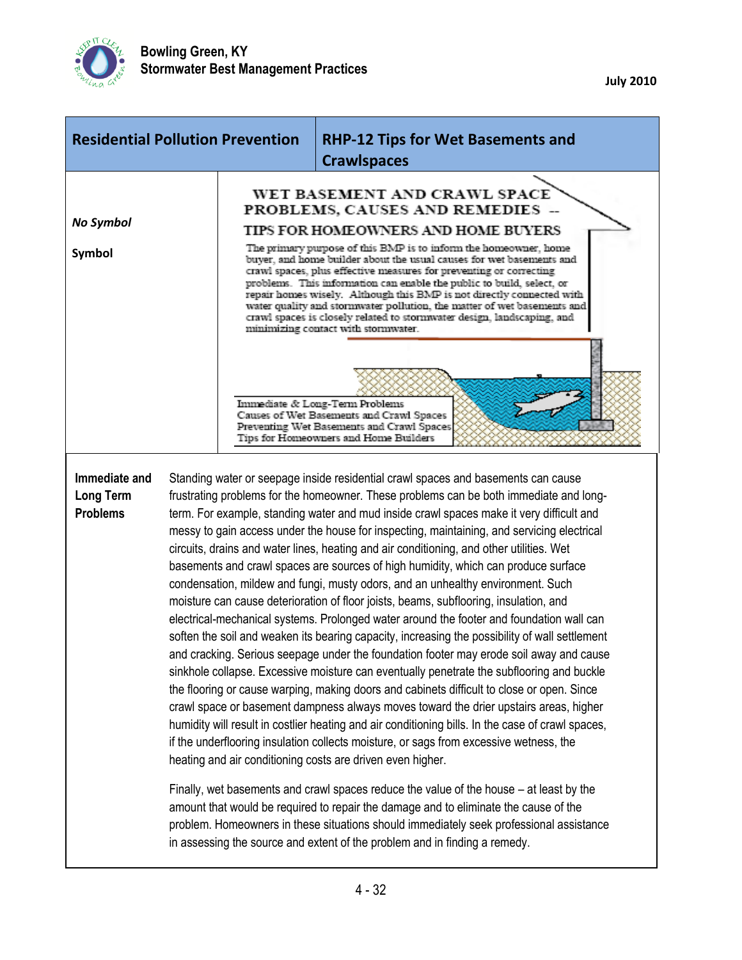

| <b>Residential Pollution Prevention</b>              |  | <b>RHP-12 Tips for Wet Basements and</b><br><b>Crawlspaces</b>                                                                                                                                                                                                                                                                                                                                                                                                                                                                                                                                                                                                                                                                                                                                                                                                                                                                                                                                                                                                                                                                                                                                                                                                                                                                                                                                                                                                                                                                                                                                                                                                                                                                                                                                                                                                                                                                            |                                                                                                                                                                  |  |
|------------------------------------------------------|--|-------------------------------------------------------------------------------------------------------------------------------------------------------------------------------------------------------------------------------------------------------------------------------------------------------------------------------------------------------------------------------------------------------------------------------------------------------------------------------------------------------------------------------------------------------------------------------------------------------------------------------------------------------------------------------------------------------------------------------------------------------------------------------------------------------------------------------------------------------------------------------------------------------------------------------------------------------------------------------------------------------------------------------------------------------------------------------------------------------------------------------------------------------------------------------------------------------------------------------------------------------------------------------------------------------------------------------------------------------------------------------------------------------------------------------------------------------------------------------------------------------------------------------------------------------------------------------------------------------------------------------------------------------------------------------------------------------------------------------------------------------------------------------------------------------------------------------------------------------------------------------------------------------------------------------------------|------------------------------------------------------------------------------------------------------------------------------------------------------------------|--|
| No Symbol<br><b>Symbol</b>                           |  | WET BASEMENT AND CRAWL SPACE<br>PROBLEMS, CAUSES AND REMEDIES -<br>TIPS FOR HOMEOWNERS AND HOME BUYERS<br>The primary purpose of this BMP is to inform the homeowner, home<br>buyer, and home builder about the usual causes for wet basements and<br>crawl spaces, plus effective measures for preventing or correcting<br>problems. This information can enable the public to build, select, or<br>repair homes wisely. Although this BMP is not directly connected with<br>water quality and stormwater pollution, the matter of wet basements and<br>crawl spaces is closely related to stormwater design, landscaping, and<br>minimizing contact with stormwater.                                                                                                                                                                                                                                                                                                                                                                                                                                                                                                                                                                                                                                                                                                                                                                                                                                                                                                                                                                                                                                                                                                                                                                                                                                                                    |                                                                                                                                                                  |  |
|                                                      |  |                                                                                                                                                                                                                                                                                                                                                                                                                                                                                                                                                                                                                                                                                                                                                                                                                                                                                                                                                                                                                                                                                                                                                                                                                                                                                                                                                                                                                                                                                                                                                                                                                                                                                                                                                                                                                                                                                                                                           | Immediate & Long-Term Problems<br>Causes of Wet Basements and Crawl Spaces<br>Preventing Wet Basements and Crawl Spaces<br>Tips for Homeowners and Home Builders |  |
| Immediate and<br><b>Long Term</b><br><b>Problems</b> |  | Standing water or seepage inside residential crawl spaces and basements can cause<br>frustrating problems for the homeowner. These problems can be both immediate and long-<br>term. For example, standing water and mud inside crawl spaces make it very difficult and<br>messy to gain access under the house for inspecting, maintaining, and servicing electrical<br>circuits, drains and water lines, heating and air conditioning, and other utilities. Wet<br>basements and crawl spaces are sources of high humidity, which can produce surface<br>condensation, mildew and fungi, musty odors, and an unhealthy environment. Such<br>moisture can cause deterioration of floor joists, beams, subflooring, insulation, and<br>electrical-mechanical systems. Prolonged water around the footer and foundation wall can<br>soften the soil and weaken its bearing capacity, increasing the possibility of wall settlement<br>and cracking. Serious seepage under the foundation footer may erode soil away and cause<br>sinkhole collapse. Excessive moisture can eventually penetrate the subflooring and buckle<br>the flooring or cause warping, making doors and cabinets difficult to close or open. Since<br>crawl space or basement dampness always moves toward the drier upstairs areas, higher<br>humidity will result in costlier heating and air conditioning bills. In the case of crawl spaces,<br>if the underflooring insulation collects moisture, or sags from excessive wetness, the<br>heating and air conditioning costs are driven even higher.<br>Finally, wet basements and crawl spaces reduce the value of the house – at least by the<br>amount that would be required to repair the damage and to eliminate the cause of the<br>problem. Homeowners in these situations should immediately seek professional assistance<br>in assessing the source and extent of the problem and in finding a remedy. |                                                                                                                                                                  |  |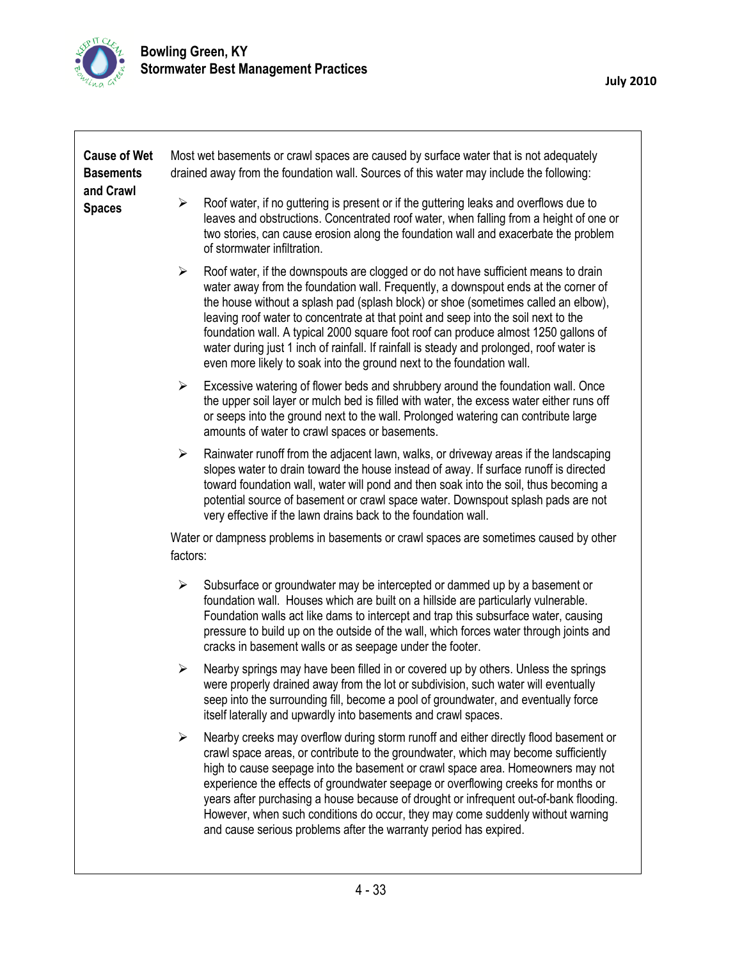

| <b>Cause of Wet</b><br><b>Basements</b><br>and Crawl<br><b>Spaces</b> | Most wet basements or crawl spaces are caused by surface water that is not adequately<br>drained away from the foundation wall. Sources of this water may include the following:                                                                                                                                                                                                                                                                                                                                                                                                                                                          |  |  |  |  |
|-----------------------------------------------------------------------|-------------------------------------------------------------------------------------------------------------------------------------------------------------------------------------------------------------------------------------------------------------------------------------------------------------------------------------------------------------------------------------------------------------------------------------------------------------------------------------------------------------------------------------------------------------------------------------------------------------------------------------------|--|--|--|--|
|                                                                       | Roof water, if no guttering is present or if the guttering leaks and overflows due to<br>➤<br>leaves and obstructions. Concentrated roof water, when falling from a height of one or<br>two stories, can cause erosion along the foundation wall and exacerbate the problem<br>of stormwater infiltration.                                                                                                                                                                                                                                                                                                                                |  |  |  |  |
|                                                                       | Roof water, if the downspouts are clogged or do not have sufficient means to drain<br>$\blacktriangleright$<br>water away from the foundation wall. Frequently, a downspout ends at the corner of<br>the house without a splash pad (splash block) or shoe (sometimes called an elbow),<br>leaving roof water to concentrate at that point and seep into the soil next to the<br>foundation wall. A typical 2000 square foot roof can produce almost 1250 gallons of<br>water during just 1 inch of rainfall. If rainfall is steady and prolonged, roof water is<br>even more likely to soak into the ground next to the foundation wall. |  |  |  |  |
|                                                                       | Excessive watering of flower beds and shrubbery around the foundation wall. Once<br>➤<br>the upper soil layer or mulch bed is filled with water, the excess water either runs off<br>or seeps into the ground next to the wall. Prolonged watering can contribute large<br>amounts of water to crawl spaces or basements.                                                                                                                                                                                                                                                                                                                 |  |  |  |  |
|                                                                       | $\blacktriangleright$<br>Rainwater runoff from the adjacent lawn, walks, or driveway areas if the landscaping<br>slopes water to drain toward the house instead of away. If surface runoff is directed<br>toward foundation wall, water will pond and then soak into the soil, thus becoming a<br>potential source of basement or crawl space water. Downspout splash pads are not<br>very effective if the lawn drains back to the foundation wall.                                                                                                                                                                                      |  |  |  |  |
|                                                                       | Water or dampness problems in basements or crawl spaces are sometimes caused by other<br>factors:                                                                                                                                                                                                                                                                                                                                                                                                                                                                                                                                         |  |  |  |  |
|                                                                       | $\blacktriangleright$<br>Subsurface or groundwater may be intercepted or dammed up by a basement or<br>foundation wall. Houses which are built on a hillside are particularly vulnerable.<br>Foundation walls act like dams to intercept and trap this subsurface water, causing<br>pressure to build up on the outside of the wall, which forces water through joints and<br>cracks in basement walls or as seepage under the footer.                                                                                                                                                                                                    |  |  |  |  |
|                                                                       | Nearby springs may have been filled in or covered up by others. Unless the springs<br>➤<br>were properly drained away from the lot or subdivision, such water will eventually<br>seep into the surrounding fill, become a pool of groundwater, and eventually force<br>itself laterally and upwardly into basements and crawl spaces.                                                                                                                                                                                                                                                                                                     |  |  |  |  |
|                                                                       | Nearby creeks may overflow during storm runoff and either directly flood basement or<br>$\blacktriangleright$<br>crawl space areas, or contribute to the groundwater, which may become sufficiently<br>high to cause seepage into the basement or crawl space area. Homeowners may not<br>experience the effects of groundwater seepage or overflowing creeks for months or<br>years after purchasing a house because of drought or infrequent out-of-bank flooding.<br>However, when such conditions do occur, they may come suddenly without warning<br>and cause serious problems after the warranty period has expired.               |  |  |  |  |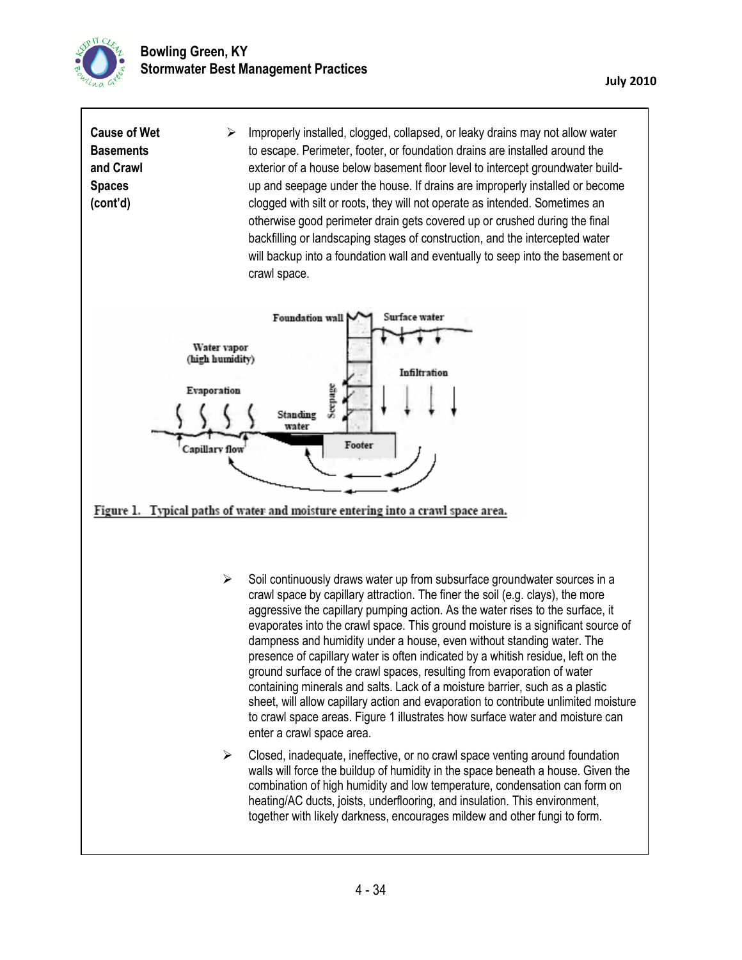

| <b>Cause of Wet</b><br><b>Basements</b><br>and Crawl<br><b>Spaces</b><br>(cont'd) | ➤                                                                      | Improperly installed, clogged, collapsed, or leaky drains may not allow water<br>to escape. Perimeter, footer, or foundation drains are installed around the<br>exterior of a house below basement floor level to intercept groundwater build-<br>up and seepage under the house. If drains are improperly installed or become<br>clogged with silt or roots, they will not operate as intended. Sometimes an<br>otherwise good perimeter drain gets covered up or crushed during the final<br>backfilling or landscaping stages of construction, and the intercepted water<br>will backup into a foundation wall and eventually to seep into the basement or<br>crawl space.                                                                                                                                                                                  |
|-----------------------------------------------------------------------------------|------------------------------------------------------------------------|----------------------------------------------------------------------------------------------------------------------------------------------------------------------------------------------------------------------------------------------------------------------------------------------------------------------------------------------------------------------------------------------------------------------------------------------------------------------------------------------------------------------------------------------------------------------------------------------------------------------------------------------------------------------------------------------------------------------------------------------------------------------------------------------------------------------------------------------------------------|
|                                                                                   | Water vapor<br>(high humidity)<br>Evaporation<br><b>Capillary flow</b> | Surface water<br>Foundation wall<br>Infiltration<br>Seepage<br>Standing<br>water<br>Footer<br>Figure 1. Typical paths of water and moisture entering into a crawl space area.                                                                                                                                                                                                                                                                                                                                                                                                                                                                                                                                                                                                                                                                                  |
|                                                                                   | ➤                                                                      | Soil continuously draws water up from subsurface groundwater sources in a<br>crawl space by capillary attraction. The finer the soil (e.g. clays), the more<br>aggressive the capillary pumping action. As the water rises to the surface, it<br>evaporates into the crawl space. This ground moisture is a significant source of<br>dampness and humidity under a house, even without standing water. The<br>presence of capillary water is often indicated by a whitish residue, left on the<br>ground surface of the crawl spaces, resulting from evaporation of water<br>containing minerals and salts. Lack of a moisture barrier, such as a plastic<br>sheet, will allow capillary action and evaporation to contribute unlimited moisture<br>to crawl space areas. Figure 1 illustrates how surface water and moisture can<br>enter a crawl space area. |

 $\triangleright$  Closed, inadequate, ineffective, or no crawl space venting around foundation walls will force the buildup of humidity in the space beneath a house. Given the combination of high humidity and low temperature, condensation can form on heating/AC ducts, joists, underflooring, and insulation. This environment, together with likely darkness, encourages mildew and other fungi to form.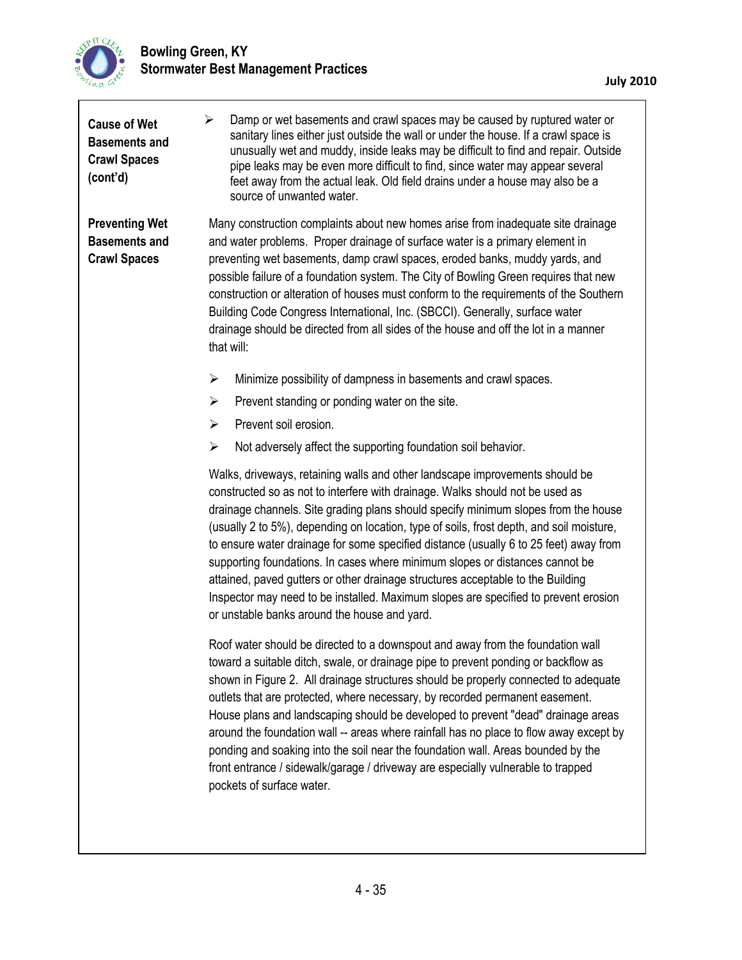

| <b>Cause of Wet</b><br><b>Basements and</b><br><b>Crawl Spaces</b><br>(cont'd) | Damp or wet basements and crawl spaces may be caused by ruptured water or<br>⋗<br>sanitary lines either just outside the wall or under the house. If a crawl space is<br>unusually wet and muddy, inside leaks may be difficult to find and repair. Outside<br>pipe leaks may be even more difficult to find, since water may appear several<br>feet away from the actual leak. Old field drains under a house may also be a<br>source of unwanted water.                                                                                                                                                                                                                                                                                          |  |  |  |
|--------------------------------------------------------------------------------|----------------------------------------------------------------------------------------------------------------------------------------------------------------------------------------------------------------------------------------------------------------------------------------------------------------------------------------------------------------------------------------------------------------------------------------------------------------------------------------------------------------------------------------------------------------------------------------------------------------------------------------------------------------------------------------------------------------------------------------------------|--|--|--|
| <b>Preventing Wet</b><br><b>Basements and</b><br><b>Crawl Spaces</b>           | Many construction complaints about new homes arise from inadequate site drainage<br>and water problems. Proper drainage of surface water is a primary element in<br>preventing wet basements, damp crawl spaces, eroded banks, muddy yards, and<br>possible failure of a foundation system. The City of Bowling Green requires that new<br>construction or alteration of houses must conform to the requirements of the Southern<br>Building Code Congress International, Inc. (SBCCI). Generally, surface water<br>drainage should be directed from all sides of the house and off the lot in a manner<br>that will:                                                                                                                              |  |  |  |
|                                                                                | Minimize possibility of dampness in basements and crawl spaces.<br>➤                                                                                                                                                                                                                                                                                                                                                                                                                                                                                                                                                                                                                                                                               |  |  |  |
|                                                                                | $\blacktriangleright$<br>Prevent standing or ponding water on the site.                                                                                                                                                                                                                                                                                                                                                                                                                                                                                                                                                                                                                                                                            |  |  |  |
|                                                                                | Prevent soil erosion.<br>$\blacktriangleright$                                                                                                                                                                                                                                                                                                                                                                                                                                                                                                                                                                                                                                                                                                     |  |  |  |
|                                                                                | Not adversely affect the supporting foundation soil behavior.<br>$\blacktriangleright$                                                                                                                                                                                                                                                                                                                                                                                                                                                                                                                                                                                                                                                             |  |  |  |
|                                                                                | Walks, driveways, retaining walls and other landscape improvements should be<br>constructed so as not to interfere with drainage. Walks should not be used as<br>drainage channels. Site grading plans should specify minimum slopes from the house<br>(usually 2 to 5%), depending on location, type of soils, frost depth, and soil moisture,<br>to ensure water drainage for some specified distance (usually 6 to 25 feet) away from<br>supporting foundations. In cases where minimum slopes or distances cannot be<br>attained, paved gutters or other drainage structures acceptable to the Building<br>Inspector may need to be installed. Maximum slopes are specified to prevent erosion<br>or unstable banks around the house and yard. |  |  |  |
|                                                                                | Roof water should be directed to a downspout and away from the foundation wall<br>toward a suitable ditch, swale, or drainage pipe to prevent ponding or backflow as<br>shown in Figure 2. All drainage structures should be properly connected to adequate<br>outlets that are protected, where necessary, by recorded permanent easement.<br>House plans and landscaping should be developed to prevent "dead" drainage areas<br>around the foundation wall -- areas where rainfall has no place to flow away except by<br>ponding and soaking into the soil near the foundation wall. Areas bounded by the<br>front entrance / sidewalk/garage / driveway are especially vulnerable to trapped<br>pockets of surface water.                     |  |  |  |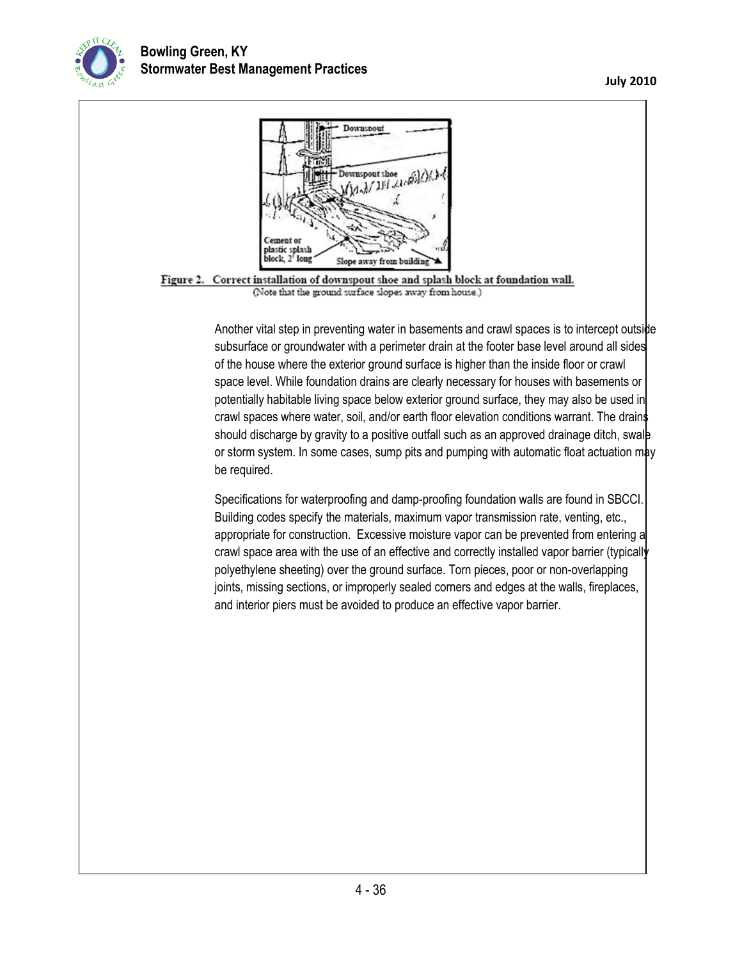

## **Bowling Green, KY Stormwater Best Management Practices**



subsurface or groundwater with a perimeter drain at the footer base level around all sides of the house where the exterior ground surface is higher than the inside floor or crawl space level. While foundation drains are clearly necessary for houses with basements or potentially habitable living space below exterior ground surface, they may also be used in crawl spaces where water, soil, and/or earth floor elevation conditions warrant. The drains should discharge by gravity to a positive outfall such as an approved drainage ditch, swale or storm system. In some cases, sump pits and pumping with automatic float actuation may be required.

Specifications for waterproofing and damp-proofing foundation walls are found in SBCCI. Building codes specify the materials, maximum vapor transmission rate, venting, etc., appropriate for construction. Excessive moisture vapor can be prevented from entering a crawl space area with the use of an effective and correctly installed vapor barrier (typically polyethylene sheeting) over the ground surface. Torn pieces, poor or non-overlapping joints, missing sections, or improperly sealed corners and edges at the walls, fireplaces, and interior piers must be avoided to produce an effective vapor barrier.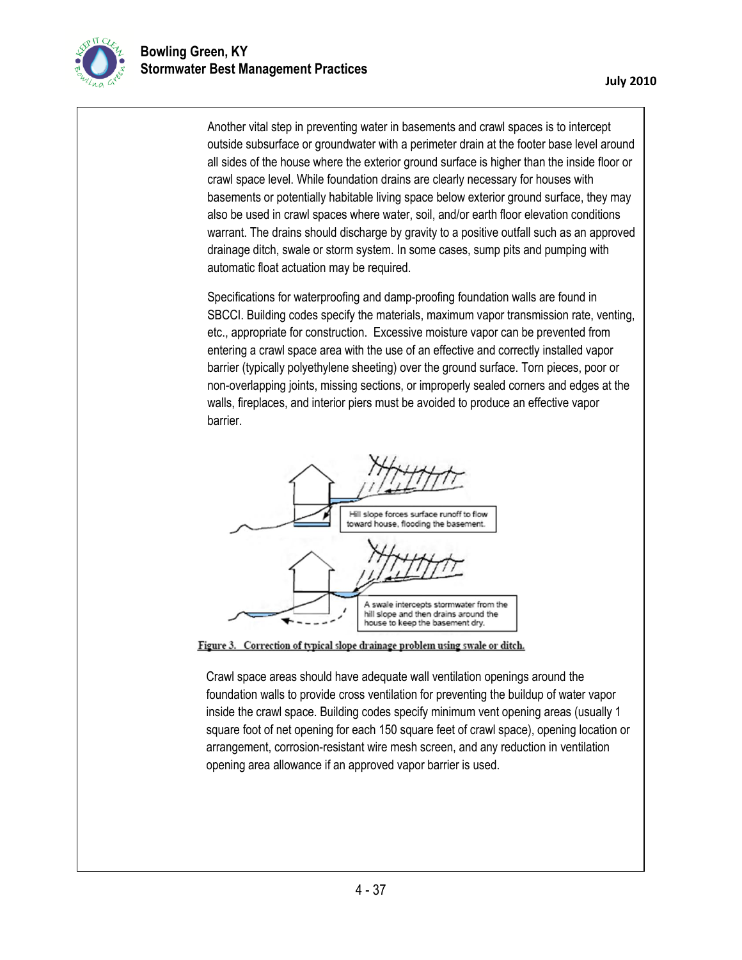Another vital step in preventing water in basements and crawl spaces is to intercept outside subsurface or groundwater with a perimeter drain at the footer base level around all sides of the house where the exterior ground surface is higher than the inside floor or crawl space level. While foundation drains are clearly necessary for houses with basements or potentially habitable living space below exterior ground surface, they may also be used in crawl spaces where water, soil, and/or earth floor elevation conditions warrant. The drains should discharge by gravity to a positive outfall such as an approved drainage ditch, swale or storm system. In some cases, sump pits and pumping with automatic float actuation may be required.

Specifications for waterproofing and damp-proofing foundation walls are found in SBCCI. Building codes specify the materials, maximum vapor transmission rate, venting, etc., appropriate for construction. Excessive moisture vapor can be prevented from entering a crawl space area with the use of an effective and correctly installed vapor barrier (typically polyethylene sheeting) over the ground surface. Torn pieces, poor or non-overlapping joints, missing sections, or improperly sealed corners and edges at the walls, fireplaces, and interior piers must be avoided to produce an effective vapor barrier.



Figure 3. Correction of typical slope drainage problem using swale or ditch.

Crawl space areas should have adequate wall ventilation openings around the foundation walls to provide cross ventilation for preventing the buildup of water vapor inside the crawl space. Building codes specify minimum vent opening areas (usually 1 square foot of net opening for each 150 square feet of crawl space), opening location or arrangement, corrosion-resistant wire mesh screen, and any reduction in ventilation opening area allowance if an approved vapor barrier is used.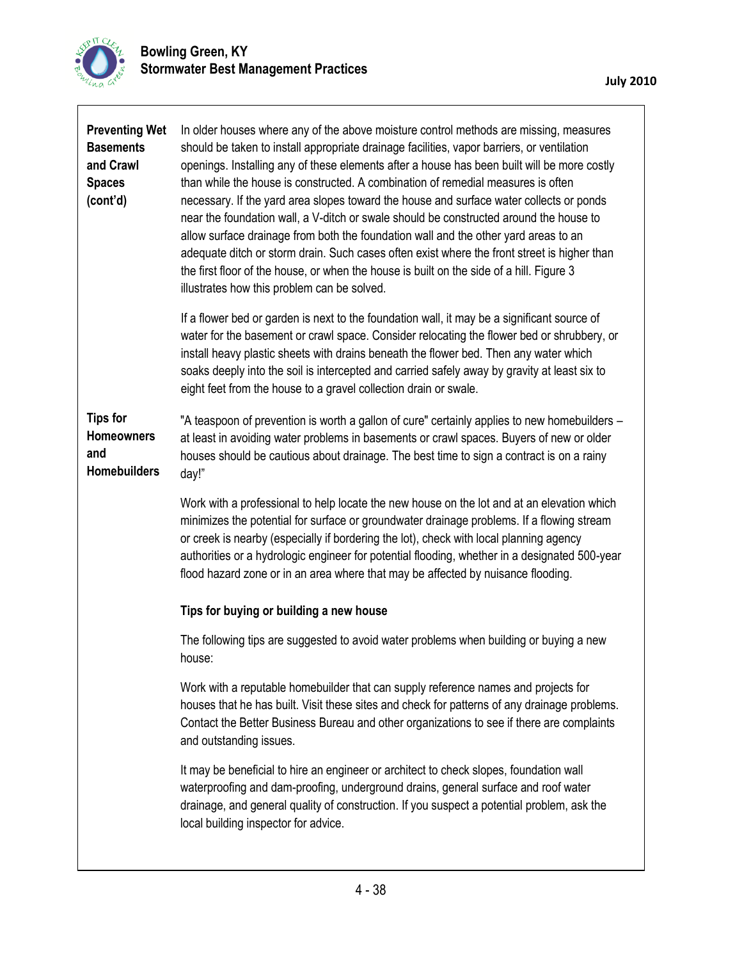

| <b>Preventing Wet</b><br><b>Basements</b><br>and Crawl<br><b>Spaces</b><br>(cont'd) | In older houses where any of the above moisture control methods are missing, measures<br>should be taken to install appropriate drainage facilities, vapor barriers, or ventilation<br>openings. Installing any of these elements after a house has been built will be more costly<br>than while the house is constructed. A combination of remedial measures is often<br>necessary. If the yard area slopes toward the house and surface water collects or ponds<br>near the foundation wall, a V-ditch or swale should be constructed around the house to<br>allow surface drainage from both the foundation wall and the other yard areas to an<br>adequate ditch or storm drain. Such cases often exist where the front street is higher than<br>the first floor of the house, or when the house is built on the side of a hill. Figure 3<br>illustrates how this problem can be solved. |  |  |
|-------------------------------------------------------------------------------------|----------------------------------------------------------------------------------------------------------------------------------------------------------------------------------------------------------------------------------------------------------------------------------------------------------------------------------------------------------------------------------------------------------------------------------------------------------------------------------------------------------------------------------------------------------------------------------------------------------------------------------------------------------------------------------------------------------------------------------------------------------------------------------------------------------------------------------------------------------------------------------------------|--|--|
|                                                                                     | If a flower bed or garden is next to the foundation wall, it may be a significant source of<br>water for the basement or crawl space. Consider relocating the flower bed or shrubbery, or<br>install heavy plastic sheets with drains beneath the flower bed. Then any water which<br>soaks deeply into the soil is intercepted and carried safely away by gravity at least six to<br>eight feet from the house to a gravel collection drain or swale.                                                                                                                                                                                                                                                                                                                                                                                                                                       |  |  |
| <b>Tips for</b><br><b>Homeowners</b><br>and<br><b>Homebuilders</b>                  | "A teaspoon of prevention is worth a gallon of cure" certainly applies to new homebuilders -<br>at least in avoiding water problems in basements or crawl spaces. Buyers of new or older<br>houses should be cautious about drainage. The best time to sign a contract is on a rainy<br>day!"                                                                                                                                                                                                                                                                                                                                                                                                                                                                                                                                                                                                |  |  |
|                                                                                     | Work with a professional to help locate the new house on the lot and at an elevation which<br>minimizes the potential for surface or groundwater drainage problems. If a flowing stream<br>or creek is nearby (especially if bordering the lot), check with local planning agency<br>authorities or a hydrologic engineer for potential flooding, whether in a designated 500-year<br>flood hazard zone or in an area where that may be affected by nuisance flooding.                                                                                                                                                                                                                                                                                                                                                                                                                       |  |  |
|                                                                                     | Tips for buying or building a new house                                                                                                                                                                                                                                                                                                                                                                                                                                                                                                                                                                                                                                                                                                                                                                                                                                                      |  |  |
|                                                                                     | The following tips are suggested to avoid water problems when building or buying a new<br>house:                                                                                                                                                                                                                                                                                                                                                                                                                                                                                                                                                                                                                                                                                                                                                                                             |  |  |
|                                                                                     | Work with a reputable homebuilder that can supply reference names and projects for<br>houses that he has built. Visit these sites and check for patterns of any drainage problems.<br>Contact the Better Business Bureau and other organizations to see if there are complaints<br>and outstanding issues.                                                                                                                                                                                                                                                                                                                                                                                                                                                                                                                                                                                   |  |  |
|                                                                                     | It may be beneficial to hire an engineer or architect to check slopes, foundation wall<br>waterproofing and dam-proofing, underground drains, general surface and roof water<br>drainage, and general quality of construction. If you suspect a potential problem, ask the<br>local building inspector for advice.                                                                                                                                                                                                                                                                                                                                                                                                                                                                                                                                                                           |  |  |
|                                                                                     |                                                                                                                                                                                                                                                                                                                                                                                                                                                                                                                                                                                                                                                                                                                                                                                                                                                                                              |  |  |